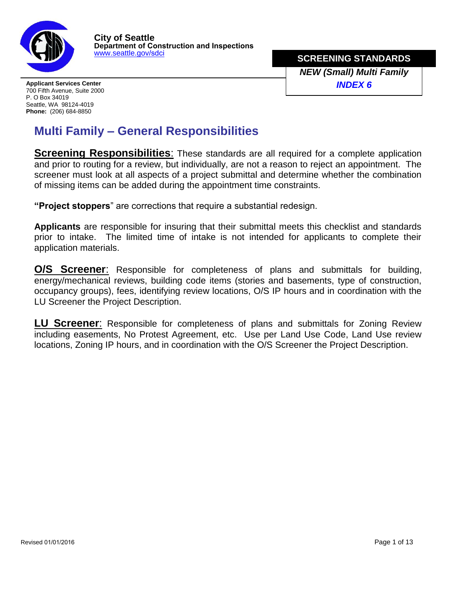

**SCREENING STANDARDS** *NEW (Small) Multi Family*

**Applicant Services Center** *INDEX 6* 700 Fifth Avenue, Suite 2000 P. O Box 34019 Seattle, WA 98124-4019 **Phone:** (206) 684-8850

# **Multi Family – General Responsibilities**

**Screening Responsibilities:** These standards are all required for a complete application and prior to routing for a review, but individually, are not a reason to reject an appointment. The screener must look at all aspects of a project submittal and determine whether the combination of missing items can be added during the appointment time constraints.

**"Project stoppers**" are corrections that require a substantial redesign.

**Applicants** are responsible for insuring that their submittal meets this checklist and standards prior to intake. The limited time of intake is not intended for applicants to complete their application materials.

**O/S Screener**: Responsible for completeness of plans and submittals for building, energy/mechanical reviews, building code items (stories and basements, type of construction, occupancy groups), fees, identifying review locations, O/S IP hours and in coordination with the LU Screener the Project Description.

**LU Screener**: Responsible for completeness of plans and submittals for Zoning Review including easements, No Protest Agreement, etc. Use per Land Use Code, Land Use review locations, Zoning IP hours, and in coordination with the O/S Screener the Project Description.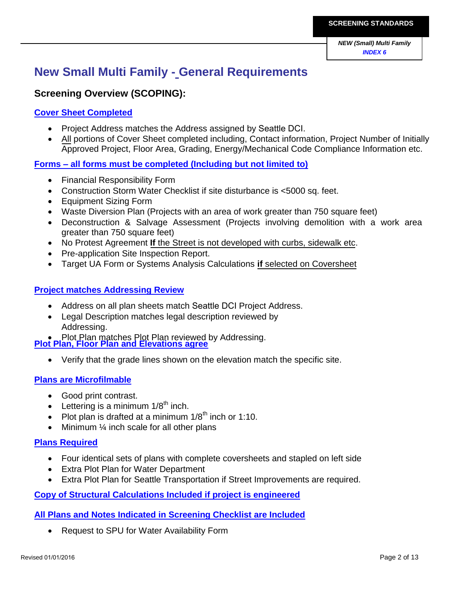# **New Small Multi Family - General Requirements**

### **Screening Overview (SCOPING):**

### **Cover Sheet Completed**

- Project Address matches the Address assigned by Seattle DCI.
- All portions of Cover Sheet completed including, Contact information, Project Number of Initially Approved Project, Floor Area, Grading, Energy/Mechanical Code Compliance Information etc.

**Forms – all forms must be completed (Including but not limited to)** 

- Financial Responsibility Form
- Construction Storm Water Checklist if site disturbance is <5000 sq. feet.
- Equipment Sizing Form
- Waste Diversion Plan (Projects with an area of work greater than 750 square feet)
- Deconstruction & Salvage Assessment (Projects involving demolition with a work area greater than 750 square feet)
- No Protest Agreement **If** the Street is not developed with curbs, sidewalk etc.
- Pre-application Site Inspection Report.
- Target UA Form or Systems Analysis Calculations **if** selected on Coversheet

### **Project matches Addressing Review**

- Address on all plan sheets match Seattle DCI Project Address.
- Legal Description matches legal description reviewed by Addressing.

• Plot Plan matches Plot Plan reviewed by Addressing. **Plot Plan, Floor Plan and Elevations agree** 

Verify that the grade lines shown on the elevation match the specific site.

### **Plans are Microfilmable**

- Good print contrast.
- **•** Lettering is a minimum  $1/8^{th}$  inch.
- Plot plan is drafted at a minimum  $1/8^{th}$  inch or 1:10.
- Minimum ¼ inch scale for all other plans

### **Plans Required**

- Four identical sets of plans with complete coversheets and stapled on left side
- Extra Plot Plan for Water Department
- Extra Plot Plan for Seattle Transportation if Street Improvements are required.

**Copy of Structural Calculations Included if project is engineered** 

### **All Plans and Notes Indicated in Screening Checklist are Included**

Request to SPU for Water Availability Form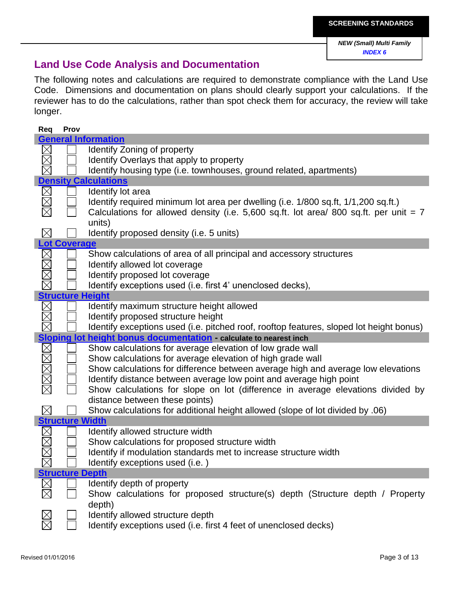### **Land Use Code Analysis and Documentation**

The following notes and calculations are required to demonstrate compliance with the Land Use Code. Dimensions and documentation on plans should clearly support your calculations. If the reviewer has to do the calculations, rather than spot check them for accuracy, the review will take longer.

| Req         | Prov                    |                                                                                         |
|-------------|-------------------------|-----------------------------------------------------------------------------------------|
|             |                         | <b>General Information</b>                                                              |
|             |                         | <b>Identify Zoning of property</b>                                                      |
|             |                         | Identify Overlays that apply to property                                                |
|             |                         | Identify housing type (i.e. townhouses, ground related, apartments)                     |
|             |                         | <b>Density Calculations</b>                                                             |
|             |                         |                                                                                         |
| $\boxtimes$ |                         | Identify lot area                                                                       |
|             |                         | Identify required minimum lot area per dwelling (i.e. 1/800 sq.ft, 1/1,200 sq.ft.)      |
|             |                         | Calculations for allowed density (i.e. $5,600$ sq.ft. lot area/ 800 sq.ft. per unit = 7 |
|             |                         | units)                                                                                  |
|             |                         | Identify proposed density (i.e. 5 units)                                                |
|             | <b>Lot Coverage</b>     |                                                                                         |
|             |                         | Show calculations of area of all principal and accessory structures                     |
|             |                         | Identify allowed lot coverage                                                           |
|             |                         | Identify proposed lot coverage                                                          |
|             |                         | Identify exceptions used (i.e. first 4' unenclosed decks),                              |
|             | <b>Structure Height</b> |                                                                                         |
|             |                         | Identify maximum structure height allowed                                               |
|             |                         |                                                                                         |
|             |                         | Identify proposed structure height                                                      |
|             |                         | Identify exceptions used (i.e. pitched roof, rooftop features, sloped lot height bonus) |
|             |                         | Sloping lot height bonus documentation calculate to nearest inch                        |
| 100         |                         | Show calculations for average elevation of low grade wall                               |
|             |                         | Show calculations for average elevation of high grade wall                              |
|             |                         | Show calculations for difference between average high and average low elevations        |
|             |                         | Identify distance between average low point and average high point                      |
|             |                         | Show calculations for slope on lot (difference in average elevations divided by         |
|             |                         | distance between these points)                                                          |
| $\boxtimes$ |                         | Show calculations for additional height allowed (slope of lot divided by .06)           |
|             | <b>Structure Width</b>  |                                                                                         |
|             |                         | Identify allowed structure width                                                        |
|             |                         | Show calculations for proposed structure width                                          |
|             |                         |                                                                                         |
|             |                         | Identify if modulation standards met to increase structure width                        |
|             |                         | Identify exceptions used (i.e.)                                                         |
|             | <b>Structure Depth</b>  |                                                                                         |
|             |                         | Identify depth of property                                                              |
|             |                         | Show calculations for proposed structure(s) depth (Structure depth / Property           |
|             |                         | depth)                                                                                  |
|             |                         | Identify allowed structure depth                                                        |
|             |                         | Identify exceptions used (i.e. first 4 feet of unenclosed decks)                        |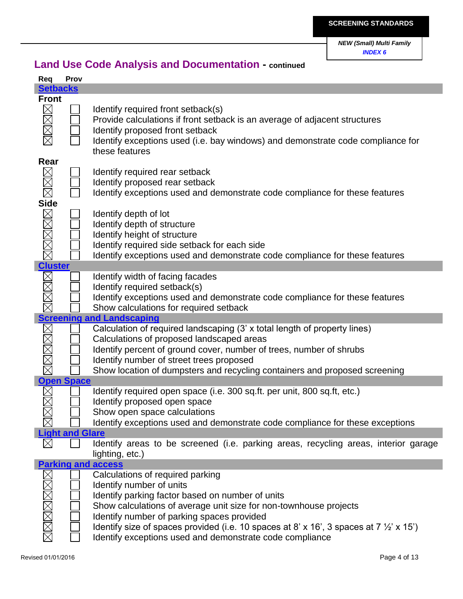|                            | Prov                   |                                                                                                    |
|----------------------------|------------------------|----------------------------------------------------------------------------------------------------|
| <b>Setbacks</b>            |                        |                                                                                                    |
| <b>Front</b>               |                        |                                                                                                    |
|                            |                        | Identify required front setback(s)                                                                 |
| <b>XXX</b>                 |                        | Provide calculations if front setback is an average of adjacent structures                         |
|                            |                        | Identify proposed front setback                                                                    |
|                            |                        | Identify exceptions used (i.e. bay windows) and demonstrate code compliance for                    |
|                            |                        | these features                                                                                     |
| Rear                       |                        |                                                                                                    |
|                            |                        |                                                                                                    |
|                            |                        | Identify required rear setback                                                                     |
|                            |                        | Identify proposed rear setback                                                                     |
|                            |                        | Identify exceptions used and demonstrate code compliance for these features                        |
|                            |                        |                                                                                                    |
|                            |                        | Identify depth of lot                                                                              |
|                            |                        | Identify depth of structure                                                                        |
|                            |                        | Identify height of structure                                                                       |
|                            |                        | Identify required side setback for each side                                                       |
|                            |                        | Identify exceptions used and demonstrate code compliance for these features                        |
| <u>Cluster</u><br>M⊠⊠⊠⊠⊠⊠⊠ |                        |                                                                                                    |
|                            |                        | Identify width of facing facades                                                                   |
| $\boxtimes$                |                        | Identify required setback(s)                                                                       |
|                            |                        | Identify exceptions used and demonstrate code compliance for these features                        |
|                            |                        | Show calculations for required setback                                                             |
|                            |                        | <b>Screening and Landscaping</b>                                                                   |
|                            |                        | Calculation of required landscaping (3' x total length of property lines)                          |
|                            |                        |                                                                                                    |
|                            |                        |                                                                                                    |
|                            |                        | Calculations of proposed landscaped areas                                                          |
|                            |                        | Identify percent of ground cover, number of trees, number of shrubs                                |
|                            |                        | Identify number of street trees proposed                                                           |
|                            |                        | Show location of dumpsters and recycling containers and proposed screening                         |
|                            | <b>Open Space</b>      |                                                                                                    |
|                            |                        | Identify required open space (i.e. 300 sq.ft. per unit, 800 sq.ft, etc.)                           |
|                            |                        | Identify proposed open space                                                                       |
|                            |                        | Show open space calculations                                                                       |
|                            |                        | Identify exceptions used and demonstrate code compliance for these exceptions                      |
|                            | <b>Light and Glare</b> |                                                                                                    |
|                            |                        | Identify areas to be screened (i.e. parking areas, recycling areas, interior garage                |
|                            |                        | lighting, etc.)                                                                                    |
|                            |                        | <b>Parking and access</b>                                                                          |
|                            |                        | Calculations of required parking                                                                   |
|                            |                        | Identify number of units                                                                           |
|                            |                        | Identify parking factor based on number of units                                                   |
|                            |                        | Show calculations of average unit size for non-townhouse projects                                  |
|                            |                        | Identify number of parking spaces provided                                                         |
|                            |                        | Identify size of spaces provided (i.e. 10 spaces at 8' x 16', 3 spaces at 7 $\frac{1}{2}$ ' x 15') |
|                            |                        | Identify exceptions used and demonstrate code compliance                                           |

# **Land Use Code Analysis and Documentation - continued**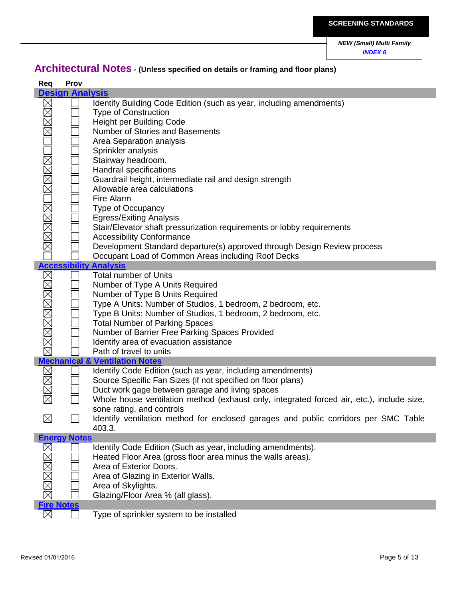# **Architectural Notes - (Unless specified on details or framing and floor plans)**

| Req                        | Prov                   |                                                                                                                                                                                                                                                                                                                                                                                                                                                                                                                                                                                                                                                                                                   |
|----------------------------|------------------------|---------------------------------------------------------------------------------------------------------------------------------------------------------------------------------------------------------------------------------------------------------------------------------------------------------------------------------------------------------------------------------------------------------------------------------------------------------------------------------------------------------------------------------------------------------------------------------------------------------------------------------------------------------------------------------------------------|
|                            | <b>Design Analysis</b> |                                                                                                                                                                                                                                                                                                                                                                                                                                                                                                                                                                                                                                                                                                   |
| OMMAR<br>MMMMMOMMMMO       |                        | Identify Building Code Edition (such as year, including amendments)<br><b>Type of Construction</b><br><b>Height per Building Code</b><br>Number of Stories and Basements<br>Area Separation analysis<br>Sprinkler analysis<br>Stairway headroom.<br>Handrail specifications<br>Guardrail height, intermediate rail and design strength<br>Allowable area calculations<br>Fire Alarm<br><b>Type of Occupancy</b><br><b>Egress/Exiting Analysis</b><br>Stair/Elevator shaft pressurization requirements or lobby requirements<br><b>Accessibility Conformance</b><br>Development Standard departure(s) approved through Design Review process<br>Occupant Load of Common Areas including Roof Decks |
|                            |                        | <b>Accessibility Analysis</b><br><b>Total number of Units</b>                                                                                                                                                                                                                                                                                                                                                                                                                                                                                                                                                                                                                                     |
|                            |                        | Manysis<br>Manysis<br>Mumber of Type A Units: Number<br>Type A Units: Number<br>Type A Units: Number<br>Type B Units: Number<br>Type B Units: Number<br>Total Number of Pa<br>Mumber of Barrier F<br>Mumber of Barrier F<br>Mechanical & Ventilati<br>Number of Type A Units Required<br>Number of Type B Units Required<br>Type A Units: Number of Studios, 1 bedroom, 2 bedroom, etc.<br>Type B Units: Number of Studios, 1 bedroom, 2 bedroom, etc.<br><b>Total Number of Parking Spaces</b><br>Number of Barrier Free Parking Spaces Provided<br>Identify area of evacuation assistance<br>Path of travel to units                                                                            |
|                            |                        |                                                                                                                                                                                                                                                                                                                                                                                                                                                                                                                                                                                                                                                                                                   |
| $\boxtimes$<br>$\boxtimes$ |                        | Identify Code Edition (such as year, including amendments)<br>Source Specific Fan Sizes (if not specified on floor plans)<br>Duct work gage between garage and living spaces<br>Whole house ventilation method (exhaust only, integrated forced air, etc.), include size,<br>sone rating, and controls<br>Identify ventilation method for enclosed garages and public corridors per SMC Table<br>403.3.                                                                                                                                                                                                                                                                                           |
|                            | <b>Energy Notes</b>    |                                                                                                                                                                                                                                                                                                                                                                                                                                                                                                                                                                                                                                                                                                   |
| Fire Notes                 |                        | Identify Code Edition (Such as year, including amendments).<br>Heated Floor Area (gross floor area minus the walls areas).<br>Area of Exterior Doors.<br>Area of Glazing in Exterior Walls.<br>Area of Skylights.<br>Glazing/Floor Area % (all glass).                                                                                                                                                                                                                                                                                                                                                                                                                                            |
| $\boxtimes$                |                        | Type of sprinkler system to be installed                                                                                                                                                                                                                                                                                                                                                                                                                                                                                                                                                                                                                                                          |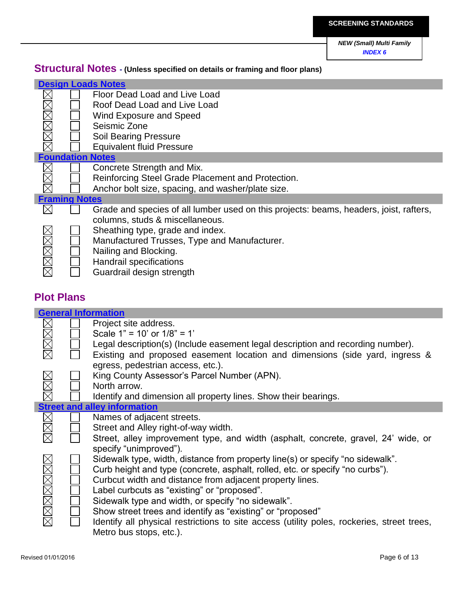# **Structural Notes - (Unless specified on details or framing and floor plans)**

|                      | <b>Design Loads Notes</b> |                                                                                        |  |  |
|----------------------|---------------------------|----------------------------------------------------------------------------------------|--|--|
|                      |                           | Floor Dead Load and Live Load                                                          |  |  |
|                      |                           | Roof Dead Load and Live Load                                                           |  |  |
|                      |                           | Wind Exposure and Speed                                                                |  |  |
| XMMMM                |                           | Seismic Zone                                                                           |  |  |
|                      |                           | <b>Soil Bearing Pressure</b>                                                           |  |  |
|                      |                           | <b>Equivalent fluid Pressure</b>                                                       |  |  |
|                      |                           | <b>Foundation Notes</b>                                                                |  |  |
|                      |                           | Concrete Strength and Mix.                                                             |  |  |
|                      |                           | Reinforcing Steel Grade Placement and Protection.                                      |  |  |
|                      |                           | Anchor bolt size, spacing, and washer/plate size.                                      |  |  |
| <b>Framing Notes</b> |                           |                                                                                        |  |  |
| $\boxtimes$          |                           | Grade and species of all lumber used on this projects: beams, headers, joist, rafters, |  |  |
|                      |                           | columns, studs & miscellaneous.                                                        |  |  |
|                      |                           | Sheathing type, grade and index.                                                       |  |  |
|                      |                           | Manufactured Trusses, Type and Manufacturer.                                           |  |  |
|                      |                           | Nailing and Blocking.                                                                  |  |  |
|                      |                           | Handrail specifications                                                                |  |  |
| XMMXX                |                           | Guardrail design strength                                                              |  |  |

### **Plot Plans**

I

I

| <b>General Information</b> |  |                                                                                            |
|----------------------------|--|--------------------------------------------------------------------------------------------|
| $\boxtimes$                |  | Project site address.                                                                      |
|                            |  | Scale $1" = 10'$ or $1/8" = 1'$                                                            |
|                            |  | Legal description(s) (Include easement legal description and recording number).            |
| MMM                        |  | Existing and proposed easement location and dimensions (side yard, ingress &               |
|                            |  | egress, pedestrian access, etc.).                                                          |
|                            |  | King County Assessor's Parcel Number (APN).                                                |
|                            |  | North arrow.                                                                               |
| <b>NNN</b>                 |  | Identify and dimension all property lines. Show their bearings.                            |
|                            |  | <b>Street and alley information</b>                                                        |
|                            |  | Names of adjacent streets.                                                                 |
| MMK                        |  | Street and Alley right-of-way width.                                                       |
|                            |  | Street, alley improvement type, and width (asphalt, concrete, gravel, 24' wide, or         |
|                            |  | specify "unimproved").                                                                     |
|                            |  | Sidewalk type, width, distance from property line(s) or specify "no sidewalk".             |
|                            |  | Curb height and type (concrete, asphalt, rolled, etc. or specify "no curbs").              |
| <u>xamaman</u>             |  | Curbcut width and distance from adjacent property lines.                                   |
|                            |  | Label curbcuts as "existing" or "proposed".                                                |
|                            |  | Sidewalk type and width, or specify "no sidewalk".                                         |
|                            |  |                                                                                            |
|                            |  | Show street trees and identify as "existing" or "proposed"                                 |
|                            |  | Identify all physical restrictions to site access (utility poles, rockeries, street trees, |
|                            |  | Metro bus stops, etc.).                                                                    |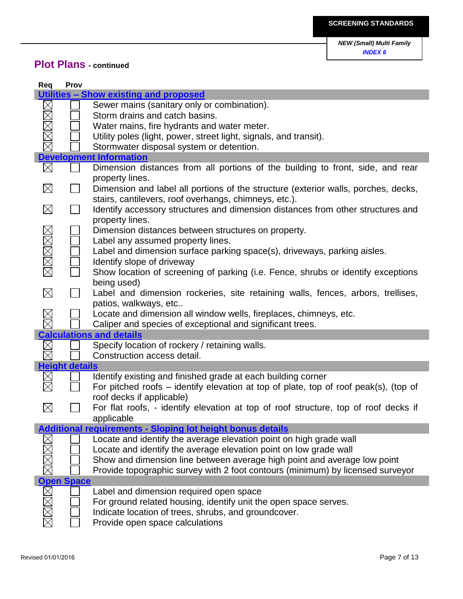## **Plot Plans - continued**

| Req         | Prov                  |                                                                                                                                             |
|-------------|-----------------------|---------------------------------------------------------------------------------------------------------------------------------------------|
|             |                       | Utilities - Show existing and proposed                                                                                                      |
|             |                       | Sewer mains (sanitary only or combination).                                                                                                 |
|             |                       | Storm drains and catch basins.                                                                                                              |
|             |                       | Water mains, fire hydrants and water meter.                                                                                                 |
| XMM         |                       | Utility poles (light, power, street light, signals, and transit).                                                                           |
|             |                       | Stormwater disposal system or detention.                                                                                                    |
|             |                       | <b>Development Information</b>                                                                                                              |
| $\boxtimes$ |                       | Dimension distances from all portions of the building to front, side, and rear<br>property lines.                                           |
| $\boxtimes$ |                       | Dimension and label all portions of the structure (exterior walls, porches, decks,<br>stairs, cantilevers, roof overhangs, chimneys, etc.). |
| $\boxtimes$ |                       | Identify accessory structures and dimension distances from other structures and                                                             |
|             |                       | property lines.                                                                                                                             |
|             |                       | Dimension distances between structures on property.                                                                                         |
|             |                       | Label any assumed property lines.                                                                                                           |
|             |                       | Label and dimension surface parking space(s), driveways, parking aisles.                                                                    |
| MMMMM       |                       | Identify slope of driveway                                                                                                                  |
|             |                       | Show location of screening of parking (i.e. Fence, shrubs or identify exceptions<br>being used)                                             |
| $\boxtimes$ |                       | Label and dimension rockeries, site retaining walls, fences, arbors, trellises,                                                             |
|             |                       | patios, walkways, etc<br>Locate and dimension all window wells, fireplaces, chimneys, etc.                                                  |
|             |                       | Caliper and species of exceptional and significant trees.                                                                                   |
|             |                       | <b>Calculations and details</b>                                                                                                             |
| $\boxtimes$ |                       | Specify location of rockery / retaining walls.                                                                                              |
| $\boxtimes$ |                       | Construction access detail.                                                                                                                 |
|             | <b>Height details</b> |                                                                                                                                             |
|             |                       | Identify existing and finished grade at each building corner                                                                                |
|             |                       | For pitched roofs $-$ identify elevation at top of plate, top of roof peak(s), (top of                                                      |
|             |                       | roof decks if applicable)                                                                                                                   |
| $\boxtimes$ |                       | For flat roofs, - identify elevation at top of roof structure, top of roof decks if                                                         |
|             |                       | applicable                                                                                                                                  |
|             |                       | <b>Additional requirements - Sloping lot height bonus details</b>                                                                           |
|             |                       | Locate and identify the average elevation point on high grade wall                                                                          |
|             |                       | Locate and identify the average elevation point on low grade wall                                                                           |
|             |                       | Show and dimension line between average high point and average low point                                                                    |
|             |                       | Provide topographic survey with 2 foot contours (minimum) by licensed surveyor                                                              |
|             | <b>Open Space</b>     |                                                                                                                                             |
| <b>NN</b>   |                       | Label and dimension required open space                                                                                                     |
|             |                       | For ground related housing, identify unit the open space serves.                                                                            |
|             |                       | Indicate location of trees, shrubs, and groundcover.                                                                                        |
|             |                       | Provide open space calculations                                                                                                             |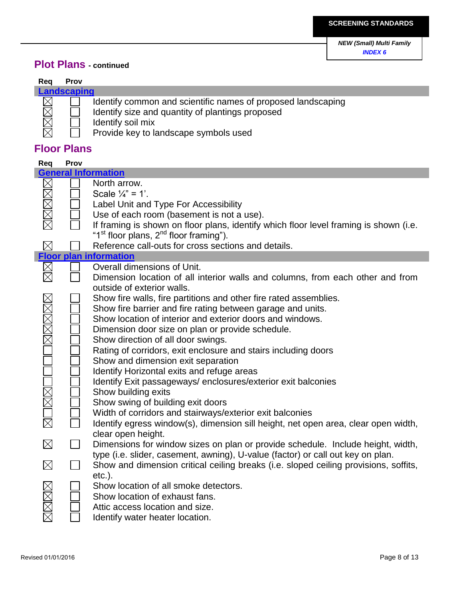## **Plot Plans - continued**

## **Req Prov**

区

I

# **Landscaping**

| Identify common and scientific names of proposed landscaping |
|--------------------------------------------------------------|
| ldontify size and quantity of plantings proposed             |

Identify size and quantity of plantings proposed

Identify soil mix

Provide key to landscape symbols used

## **Floor Plans**

| Req                  | Prov |                                                                                                                                                                                                                                                                                                                                                                                                                                                                                                                                                                                                                                                                                                                                                           |
|----------------------|------|-----------------------------------------------------------------------------------------------------------------------------------------------------------------------------------------------------------------------------------------------------------------------------------------------------------------------------------------------------------------------------------------------------------------------------------------------------------------------------------------------------------------------------------------------------------------------------------------------------------------------------------------------------------------------------------------------------------------------------------------------------------|
|                      |      | <b>General Information</b>                                                                                                                                                                                                                                                                                                                                                                                                                                                                                                                                                                                                                                                                                                                                |
|                      |      | North arrow.<br>Scale $\frac{1}{4}$ " = 1'.                                                                                                                                                                                                                                                                                                                                                                                                                                                                                                                                                                                                                                                                                                               |
|                      |      | Label Unit and Type For Accessibility                                                                                                                                                                                                                                                                                                                                                                                                                                                                                                                                                                                                                                                                                                                     |
|                      |      | Use of each room (basement is not a use).<br>If framing is shown on floor plans, identify which floor level framing is shown (i.e.<br>"1 <sup>st</sup> floor plans, 2 <sup>nd</sup> floor framing").                                                                                                                                                                                                                                                                                                                                                                                                                                                                                                                                                      |
| $\boxtimes$          |      | Reference call-outs for cross sections and details.                                                                                                                                                                                                                                                                                                                                                                                                                                                                                                                                                                                                                                                                                                       |
|                      |      | <b>Floor plan information</b>                                                                                                                                                                                                                                                                                                                                                                                                                                                                                                                                                                                                                                                                                                                             |
| $\boxtimes$          |      | Overall dimensions of Unit.<br>Dimension location of all interior walls and columns, from each other and from                                                                                                                                                                                                                                                                                                                                                                                                                                                                                                                                                                                                                                             |
| <u> 188000008888</u> |      | outside of exterior walls.<br>Show fire walls, fire partitions and other fire rated assemblies.<br>Show fire barrier and fire rating between garage and units.<br>Show location of interior and exterior doors and windows.<br>Dimension door size on plan or provide schedule.<br>Show direction of all door swings.<br>Rating of corridors, exit enclosure and stairs including doors<br>Show and dimension exit separation<br>Identify Horizontal exits and refuge areas<br>Identify Exit passageways/enclosures/exterior exit balconies<br>Show building exits<br>Show swing of building exit doors<br>Width of corridors and stairways/exterior exit balconies<br>Identify egress window(s), dimension sill height, net open area, clear open width, |
| $\boxtimes$          |      | clear open height.<br>Dimensions for window sizes on plan or provide schedule. Include height, width,                                                                                                                                                                                                                                                                                                                                                                                                                                                                                                                                                                                                                                                     |
| $\boxtimes$          |      | type (i.e. slider, casement, awning), U-value (factor) or call out key on plan.<br>Show and dimension critical ceiling breaks (i.e. sloped ceiling provisions, soffits,                                                                                                                                                                                                                                                                                                                                                                                                                                                                                                                                                                                   |
|                      |      | $etc.$ ).<br>Show location of all smoke detectors.<br>Show location of exhaust fans.<br>Attic access location and size.<br>Identify water heater location.                                                                                                                                                                                                                                                                                                                                                                                                                                                                                                                                                                                                |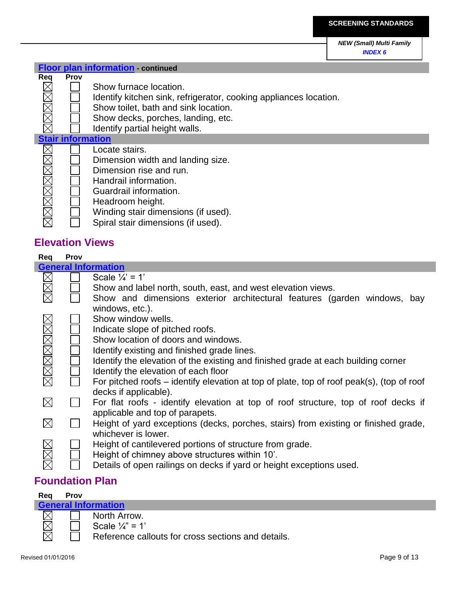|  | Floor plan information - continued |  |
|--|------------------------------------|--|
|  |                                    |  |

# **Req Prov**<br> $\boxtimes$

- Show furnace location.
- Identify kitchen sink, refrigerator, cooking appliances location.
- Show toilet, bath and sink location.
- Show decks, porches, landing, etc.
- Identify partial height walls.

### **Stair information**

|  | Locate stairs.                      |
|--|-------------------------------------|
|  | Dimension width and landing size.   |
|  | Dimension rise and run.             |
|  | Handrail information.               |
|  | Guardrail information.              |
|  | Headroom height.                    |
|  | Winding stair dimensions (if used). |
|  | Spiral stair dimensions (if used).  |
|  |                                     |

## **Elevation Views**

| Req         | Prov |                                                                                           |
|-------------|------|-------------------------------------------------------------------------------------------|
|             |      | <b>General Information</b>                                                                |
| MMM         |      | Scale $\frac{1}{4}$ = 1'                                                                  |
|             |      | Show and label north, south, east, and west elevation views.                              |
|             |      | Show and dimensions exterior architectural features (garden windows, bay                  |
|             |      | windows, etc.).                                                                           |
|             |      | Show window wells.                                                                        |
|             |      | Indicate slope of pitched roofs.                                                          |
|             |      | Show location of doors and windows.                                                       |
|             |      | Identify existing and finished grade lines.                                               |
| MMMMMMK     |      | Identify the elevation of the existing and finished grade at each building corner         |
|             |      | Identify the elevation of each floor                                                      |
|             |      | For pitched roofs – identify elevation at top of plate, top of roof peak(s), (top of roof |
|             |      | decks if applicable).                                                                     |
| $\times$    |      | For flat roofs - identify elevation at top of roof structure, top of roof decks if        |
|             |      | applicable and top of parapets.                                                           |
| $\boxtimes$ |      | Height of yard exceptions (decks, porches, stairs) from existing or finished grade,       |
|             |      | whichever is lower.                                                                       |
| XXX         |      | Height of cantilevered portions of structure from grade.                                  |
|             |      | Height of chimney above structures within 10'.                                            |
|             |      | Details of open railings on decks if yard or height exceptions used.                      |
|             |      |                                                                                           |

## **Foundation Plan**

| Reg | <b>Prov</b> |                                                    |
|-----|-------------|----------------------------------------------------|
|     |             | <b>General Information</b>                         |
|     |             | North Arrow.                                       |
|     |             | Scale $\frac{1}{4}$ " = 1'                         |
|     |             | Reference callouts for cross sections and details. |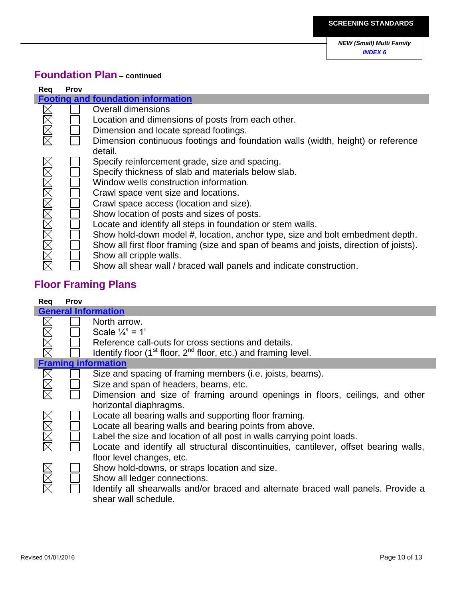## **Foundation Plan – continued**

| Reg                | <b>Prov</b> |                                                                                        |
|--------------------|-------------|----------------------------------------------------------------------------------------|
|                    |             | <b>Footing and foundation information</b>                                              |
|                    |             | <b>Overall dimensions</b>                                                              |
| MMM                |             | Location and dimensions of posts from each other.                                      |
|                    |             | Dimension and locate spread footings.                                                  |
|                    |             | Dimension continuous footings and foundation walls (width, height) or reference        |
|                    |             | detail.                                                                                |
|                    |             | Specify reinforcement grade, size and spacing.                                         |
|                    |             | Specify thickness of slab and materials below slab.                                    |
|                    |             | Window wells construction information.                                                 |
|                    |             | Crawl space vent size and locations.                                                   |
|                    |             | Crawl space access (location and size).                                                |
|                    |             | Show location of posts and sizes of posts.                                             |
|                    |             | Locate and identify all steps in foundation or stem walls.                             |
|                    |             | Show hold-down model #, location, anchor type, size and bolt embedment depth.          |
|                    |             | Show all first floor framing (size and span of beams and joists, direction of joists). |
| <u>xmanamanana</u> |             | Show all cripple walls.                                                                |
|                    |             | Show all shear wall / braced wall panels and indicate construction.                    |

# **Floor Framing Plans**

| Req         | <b>Prov</b> |                                                                                       |
|-------------|-------------|---------------------------------------------------------------------------------------|
|             |             | <b>General Information</b>                                                            |
|             |             | North arrow.                                                                          |
|             |             | Scale $\frac{1}{4}$ " = 1'                                                            |
| XXXX        |             | Reference call-outs for cross sections and details.                                   |
|             |             | Identify floor $(1st$ floor, $2nd$ floor, etc.) and framing level.                    |
|             |             | <b>Framing information</b>                                                            |
|             |             | Size and spacing of framing members (i.e. joists, beams).                             |
|             |             | Size and span of headers, beams, etc.                                                 |
|             |             | Dimension and size of framing around openings in floors, ceilings, and other          |
|             |             | horizontal diaphragms.                                                                |
|             |             | Locate all bearing walls and supporting floor framing.                                |
|             |             | Locate all bearing walls and bearing points from above.                               |
|             |             | Label the size and location of all post in walls carrying point loads.                |
| <b>NNNN</b> |             | Locate and identify all structural discontinuities, cantilever, offset bearing walls, |
|             |             | floor level changes, etc.                                                             |
|             |             | Show hold-downs, or straps location and size.                                         |
|             |             | Show all ledger connections.                                                          |
| MMM         |             | Identify all shearwalls and/or braced and alternate braced wall panels. Provide a     |
|             |             | shear wall schedule.                                                                  |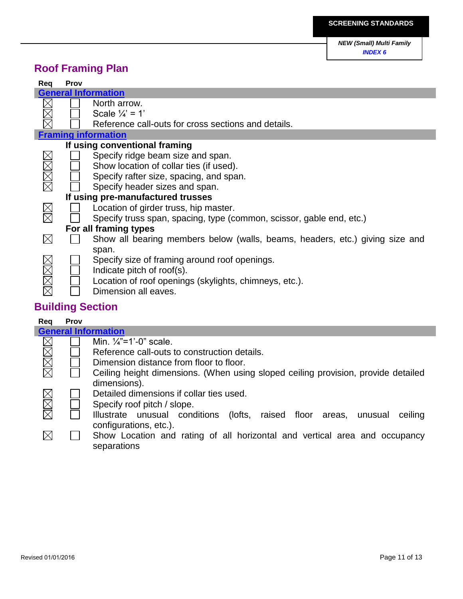# **Roof Framing Plan**

| Req  | Prov |                                                                              |
|------|------|------------------------------------------------------------------------------|
|      |      | <b>General Information</b>                                                   |
|      |      | North arrow.                                                                 |
|      |      | Scale $\frac{1}{4}$ = 1'                                                     |
|      |      | Reference call-outs for cross sections and details.                          |
|      |      | <b>Framing information</b>                                                   |
|      |      | If using conventional framing                                                |
|      |      | Specify ridge beam size and span.                                            |
|      |      | Show location of collar ties (if used).                                      |
|      |      | Specify rafter size, spacing, and span.                                      |
| MMM  |      | Specify header sizes and span.                                               |
|      |      | If using pre-manufactured trusses                                            |
|      |      | Location of girder truss, hip master.                                        |
|      |      | Specify truss span, spacing, type (common, scissor, gable end, etc.)         |
|      |      | For all framing types                                                        |
|      |      | Show all bearing members below (walls, beams, headers, etc.) giving size and |
|      |      | span.                                                                        |
|      |      | Specify size of framing around roof openings.                                |
|      |      | Indicate pitch of roof(s).                                                   |
| XXXX |      | Location of roof openings (skylights, chimneys, etc.).                       |
|      |      | Dimension all eaves.                                                         |

# **Building Section**

| Reg         | Prov |                                                                                    |
|-------------|------|------------------------------------------------------------------------------------|
|             |      | <b>General Information</b>                                                         |
|             |      | Min. $\frac{1}{4}$ "=1'-0" scale.                                                  |
| XXXX        |      | Reference call-outs to construction details.                                       |
|             |      | Dimension distance from floor to floor.                                            |
|             |      | Ceiling height dimensions. (When using sloped ceiling provision, provide detailed  |
|             |      | dimensions).                                                                       |
|             |      | Detailed dimensions if collar ties used.                                           |
|             |      | Specify roof pitch / slope.                                                        |
| MMM         |      | Illustrate unusual conditions<br>(lofts, raised floor areas,<br>ceiling<br>unusual |
|             |      | configurations, etc.).                                                             |
| $\boxtimes$ |      | Show Location and rating of all horizontal and vertical area and occupancy         |
|             |      | separations                                                                        |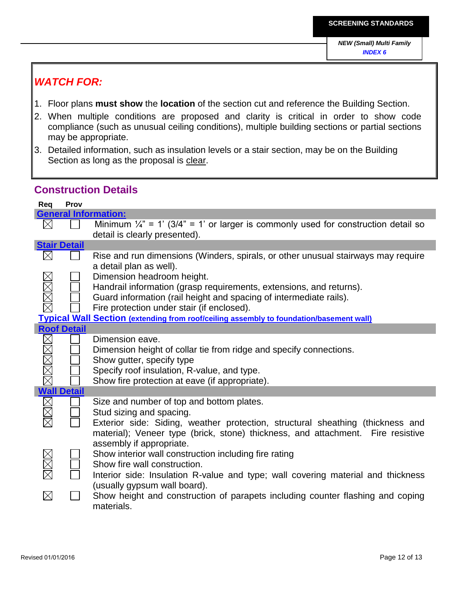## *WATCH FOR:*

- 1. Floor plans **must show** the **location** of the section cut and reference the Building Section.
- 2. When multiple conditions are proposed and clarity is critical in order to show code compliance (such as unusual ceiling conditions), multiple building sections or partial sections may be appropriate.
- 3. Detailed information, such as insulation levels or a stair section, may be on the Building Section as long as the proposal is clear.

### **Construction Details**

| Req         | Prov                |                                                                                                              |
|-------------|---------------------|--------------------------------------------------------------------------------------------------------------|
|             |                     | <b>General Information:</b>                                                                                  |
| $\times$    |                     | Minimum $\frac{1}{4}$ " = 1' (3/4" = 1' or larger is commonly used for construction detail so                |
|             |                     | detail is clearly presented).                                                                                |
|             | <b>Stair Detail</b> |                                                                                                              |
| $\boxtimes$ |                     | Rise and run dimensions (Winders, spirals, or other unusual stairways may require<br>a detail plan as well). |
|             |                     | Dimension headroom height.                                                                                   |
|             |                     | Handrail information (grasp requirements, extensions, and returns).                                          |
|             |                     | Guard information (rail height and spacing of intermediate rails).                                           |
|             |                     | Fire protection under stair (if enclosed).                                                                   |
|             |                     | <b>Typical Wall Section (extending from roof/ceiling assembly to foundation/basement wall)</b>               |
|             | <b>Roof Detail</b>  |                                                                                                              |
|             |                     | Dimension eave.                                                                                              |
|             |                     | Dimension height of collar tie from ridge and specify connections.                                           |
|             |                     | Show gutter, specify type                                                                                    |
|             |                     | Specify roof insulation, R-value, and type.                                                                  |
|             |                     | Show fire protection at eave (if appropriate).                                                               |
|             | <b>Wall Detail</b>  |                                                                                                              |
|             |                     | Size and number of top and bottom plates.                                                                    |
|             |                     | Stud sizing and spacing.                                                                                     |
|             |                     | Exterior side: Siding, weather protection, structural sheathing (thickness and                               |
|             |                     | material); Veneer type (brick, stone) thickness, and attachment. Fire resistive<br>assembly if appropriate.  |
|             |                     |                                                                                                              |
|             |                     | Show interior wall construction including fire rating                                                        |
|             |                     | Show fire wall construction.                                                                                 |
|             |                     | Interior side: Insulation R-value and type; wall covering material and thickness                             |
|             |                     | (usually gypsum wall board).                                                                                 |
| $\boxtimes$ |                     | Show height and construction of parapets including counter flashing and coping<br>materials.                 |